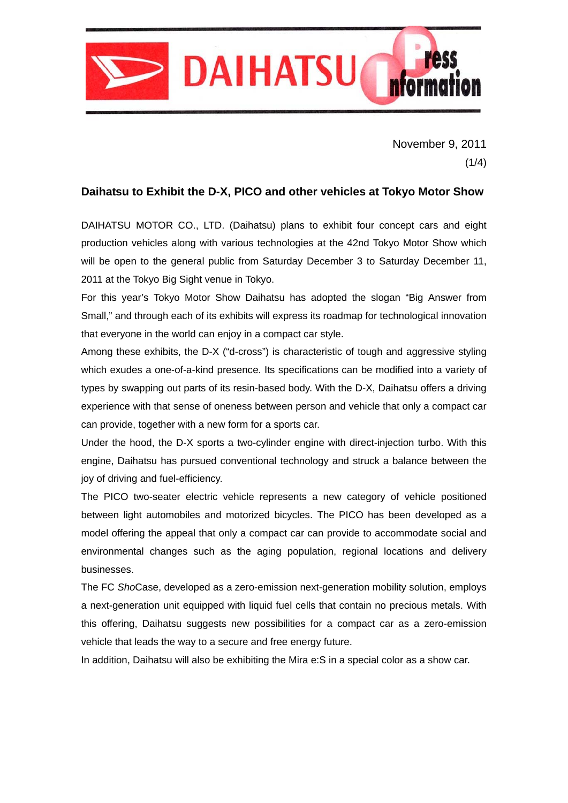

November 9, 2011  $(1/4)$ 

# **Daihatsu to Exhibit the D-X, PICO and other vehicles at Tokyo Motor Show**

DAIHATSU MOTOR CO., LTD. (Daihatsu) plans to exhibit four concept cars and eight production vehicles along with various technologies at the 42nd Tokyo Motor Show which will be open to the general public from Saturday December 3 to Saturday December 11, 2011 at the Tokyo Big Sight venue in Tokyo.

For this year's Tokyo Motor Show Daihatsu has adopted the slogan "Big Answer from Small," and through each of its exhibits will express its roadmap for technological innovation that everyone in the world can enjoy in a compact car style.

Among these exhibits, the D-X ("d-cross") is characteristic of tough and aggressive styling which exudes a one-of-a-kind presence. Its specifications can be modified into a variety of types by swapping out parts of its resin-based body. With the D-X, Daihatsu offers a driving experience with that sense of oneness between person and vehicle that only a compact car can provide, together with a new form for a sports car.

Under the hood, the D-X sports a two-cylinder engine with direct-injection turbo. With this engine, Daihatsu has pursued conventional technology and struck a balance between the joy of driving and fuel-efficiency.

The PICO two-seater electric vehicle represents a new category of vehicle positioned between light automobiles and motorized bicycles. The PICO has been developed as a model offering the appeal that only a compact car can provide to accommodate social and environmental changes such as the aging population, regional locations and delivery businesses.

The FC *Sho*Case, developed as a zero-emission next-generation mobility solution, employs a next-generation unit equipped with liquid fuel cells that contain no precious metals. With this offering, Daihatsu suggests new possibilities for a compact car as a zero-emission vehicle that leads the way to a secure and free energy future.

In addition, Daihatsu will also be exhibiting the Mira e:S in a special color as a show car.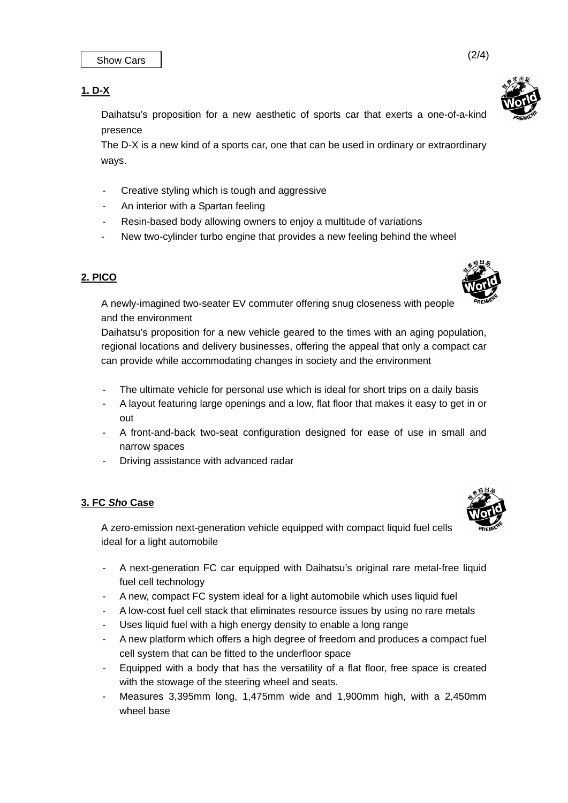# **1. D-X**

 Daihatsu's proposition for a new aesthetic of sports car that exerts a one-of-a-kind presence

The D-X is a new kind of a sports car, one that can be used in ordinary or extraordinary ways.

- Creative styling which is tough and aggressive
- An interior with a Spartan feeling
- Resin-based body allowing owners to enjoy a multitude of variations
- New two-cylinder turbo engine that provides a new feeling behind the wheel

## **2. PICO**

 A newly-imagined two-seater EV commuter offering snug closeness with people and the environment

 Daihatsu's proposition for a new vehicle geared to the times with an aging population, regional locations and delivery businesses, offering the appeal that only a compact car can provide while accommodating changes in society and the environment

- The ultimate vehicle for personal use which is ideal for short trips on a daily basis
- A layout featuring large openings and a low, flat floor that makes it easy to get in or out
- A front-and-back two-seat configuration designed for ease of use in small and narrow spaces
- Driving assistance with advanced radar

### **3. FC** *Sho* **Case**

 A zero-emission next-generation vehicle equipped with compact liquid fuel cells ideal for a light automobile

- A next-generation FC car equipped with Daihatsu's original rare metal-free liquid fuel cell technology
- A new, compact FC system ideal for a light automobile which uses liquid fuel
- A low-cost fuel cell stack that eliminates resource issues by using no rare metals
- Uses liquid fuel with a high energy density to enable a long range
- A new platform which offers a high degree of freedom and produces a compact fuel cell system that can be fitted to the underfloor space
- Equipped with a body that has the versatility of a flat floor, free space is created with the stowage of the steering wheel and seats.
- Measures 3,395mm long, 1,475mm wide and 1,900mm high, with a 2,450mm wheel base





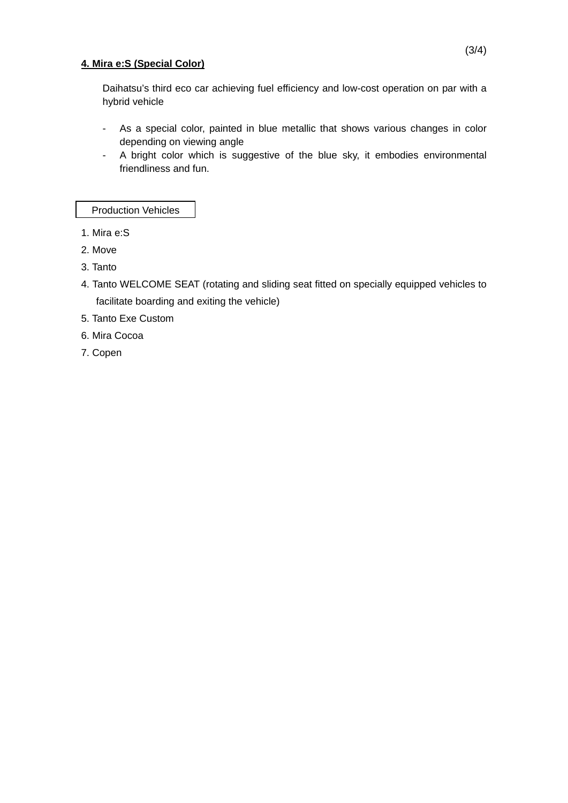#### **4. Mira e:S (Special Color)**

Daihatsu's third eco car achieving fuel efficiency and low-cost operation on par with a hybrid vehicle

- As a special color, painted in blue metallic that shows various changes in color depending on viewing angle
- A bright color which is suggestive of the blue sky, it embodies environmental friendliness and fun.

Production Vehicles

- 1. Mira e:S
- 2. Move
- 3. Tanto
- 4. Tanto WELCOME SEAT (rotating and sliding seat fitted on specially equipped vehicles to facilitate boarding and exiting the vehicle)
- 5. Tanto Exe Custom
- 6. Mira Cocoa
- 7. Copen